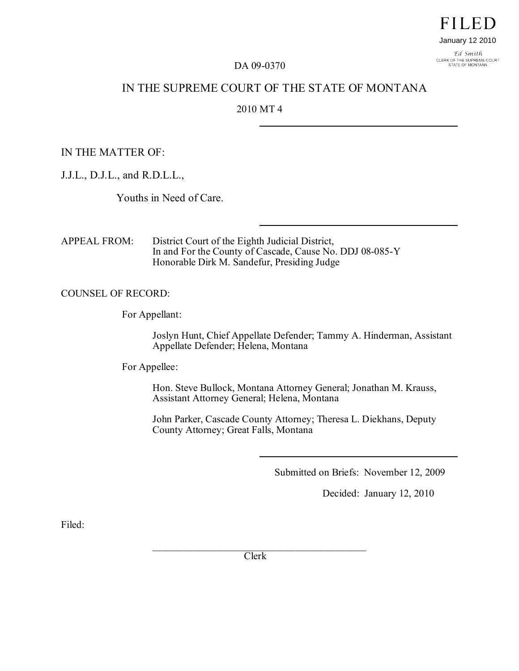Ed Smith CLERK OF THE SUPREME COURT<br>STATE OF MONTANA

### DA 09-0370

## IN THE SUPREME COURT OF THE STATE OF MONTANA

### 2010 MT 4

IN THE MATTER OF:

J.J.L., D.J.L., and R.D.L.L.,

Youths in Need of Care.

APPEAL FROM: District Court of the Eighth Judicial District, In and For the County of Cascade, Cause No. DDJ 08-085-Y Honorable Dirk M. Sandefur, Presiding Judge

COUNSEL OF RECORD:

For Appellant:

Joslyn Hunt, Chief Appellate Defender; Tammy A. Hinderman, Assistant Appellate Defender; Helena, Montana

For Appellee:

Hon. Steve Bullock, Montana Attorney General; Jonathan M. Krauss, Assistant Attorney General; Helena, Montana

John Parker, Cascade County Attorney; Theresa L. Diekhans, Deputy County Attorney; Great Falls, Montana

Submitted on Briefs: November 12, 2009

Decided: January 12, 2010

Filed:

 $\mathcal{L}_\mathcal{L}$  , where  $\mathcal{L}_\mathcal{L}$  is the set of the set of the set of the set of the set of the set of the set of the set of the set of the set of the set of the set of the set of the set of the set of the set of the Clerk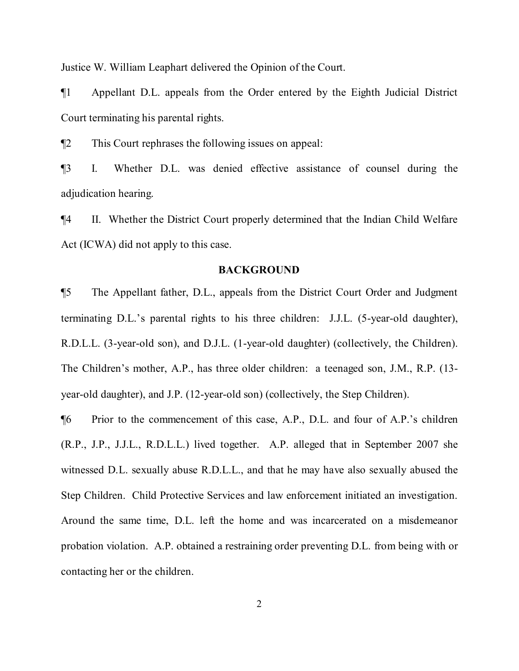Justice W. William Leaphart delivered the Opinion of the Court.

¶1 Appellant D.L. appeals from the Order entered by the Eighth Judicial District Court terminating his parental rights.

¶2 This Court rephrases the following issues on appeal:

¶3 I. Whether D.L. was denied effective assistance of counsel during the adjudication hearing.

¶4 II. Whether the District Court properly determined that the Indian Child Welfare Act (ICWA) did not apply to this case.

#### **BACKGROUND**

¶5 The Appellant father, D.L., appeals from the District Court Order and Judgment terminating D.L.'s parental rights to his three children: J.J.L. (5-year-old daughter), R.D.L.L. (3-year-old son), and D.J.L. (1-year-old daughter) (collectively, the Children). The Children's mother, A.P., has three older children: a teenaged son, J.M., R.P. (13 year-old daughter), and J.P. (12-year-old son) (collectively, the Step Children).

¶6 Prior to the commencement of this case, A.P., D.L. and four of A.P.'s children (R.P., J.P., J.J.L., R.D.L.L.) lived together. A.P. alleged that in September 2007 she witnessed D.L. sexually abuse R.D.L.L., and that he may have also sexually abused the Step Children. Child Protective Services and law enforcement initiated an investigation. Around the same time, D.L. left the home and was incarcerated on a misdemeanor probation violation. A.P. obtained a restraining order preventing D.L. from being with or contacting her or the children.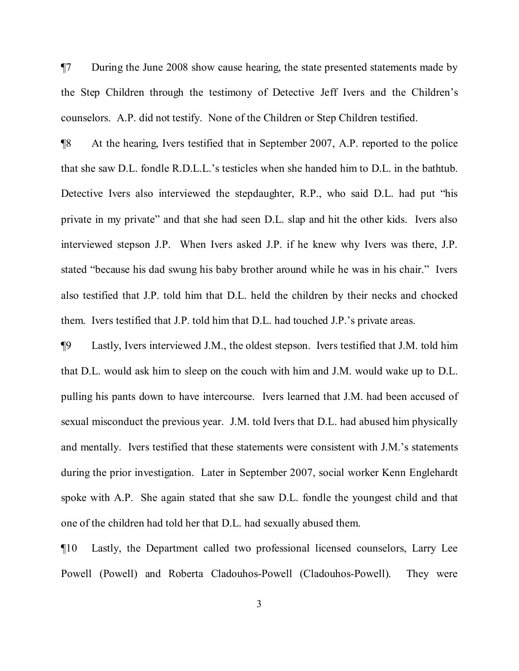¶7 During the June 2008 show cause hearing, the state presented statements made by the Step Children through the testimony of Detective Jeff Ivers and the Children's counselors. A.P. did not testify. None of the Children or Step Children testified.

¶8 At the hearing, Ivers testified that in September 2007, A.P. reported to the police that she saw D.L. fondle R.D.L.L.'s testicles when she handed him to D.L. in the bathtub. Detective Ivers also interviewed the stepdaughter, R.P., who said D.L. had put "his private in my private" and that she had seen D.L. slap and hit the other kids. Ivers also interviewed stepson J.P. When Ivers asked J.P. if he knew why Ivers was there, J.P. stated "because his dad swung his baby brother around while he was in his chair." Ivers also testified that J.P. told him that D.L. held the children by their necks and chocked them. Ivers testified that J.P. told him that D.L. had touched J.P.'s private areas.

¶9 Lastly, Ivers interviewed J.M., the oldest stepson. Ivers testified that J.M. told him that D.L. would ask him to sleep on the couch with him and J.M. would wake up to D.L. pulling his pants down to have intercourse. Ivers learned that J.M. had been accused of sexual misconduct the previous year. J.M. told Ivers that D.L. had abused him physically and mentally. Ivers testified that these statements were consistent with J.M.'s statements during the prior investigation. Later in September 2007, social worker Kenn Englehardt spoke with A.P. She again stated that she saw D.L. fondle the youngest child and that one of the children had told her that D.L. had sexually abused them.

¶10 Lastly, the Department called two professional licensed counselors, Larry Lee Powell (Powell) and Roberta Cladouhos-Powell (Cladouhos-Powell). They were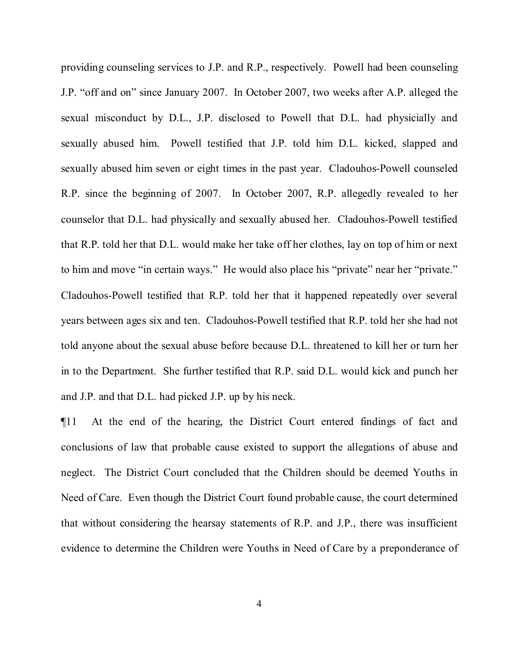providing counseling services to J.P. and R.P., respectively. Powell had been counseling J.P. "off and on" since January 2007. In October 2007, two weeks after A.P. alleged the sexual misconduct by D.L., J.P. disclosed to Powell that D.L. had physicially and sexually abused him. Powell testified that J.P. told him D.L. kicked, slapped and sexually abused him seven or eight times in the past year. Cladouhos-Powell counseled R.P. since the beginning of 2007. In October 2007, R.P. allegedly revealed to her counselor that D.L. had physically and sexually abused her. Cladouhos-Powell testified that R.P. told her that D.L. would make her take off her clothes, lay on top of him or next to him and move "in certain ways." He would also place his "private" near her "private." Cladouhos-Powell testified that R.P. told her that it happened repeatedly over several years between ages six and ten. Cladouhos-Powell testified that R.P. told her she had not told anyone about the sexual abuse before because D.L. threatened to kill her or turn her in to the Department. She further testified that R.P. said D.L. would kick and punch her and J.P. and that D.L. had picked J.P. up by his neck.

¶11 At the end of the hearing, the District Court entered findings of fact and conclusions of law that probable cause existed to support the allegations of abuse and neglect. The District Court concluded that the Children should be deemed Youths in Need of Care. Even though the District Court found probable cause, the court determined that without considering the hearsay statements of R.P. and J.P., there was insufficient evidence to determine the Children were Youths in Need of Care by a preponderance of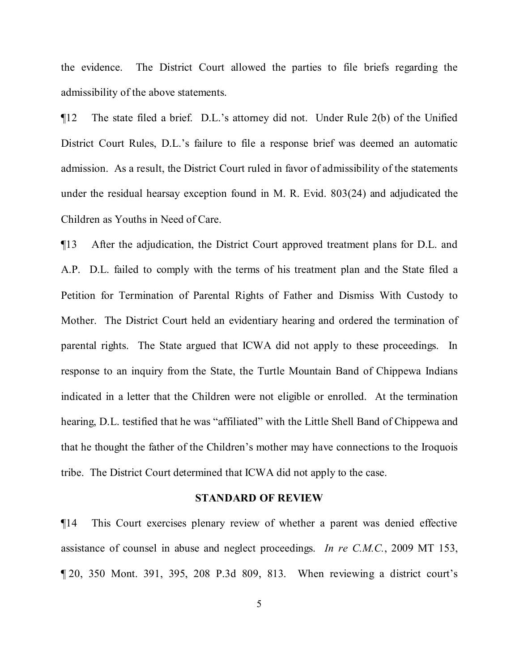the evidence. The District Court allowed the parties to file briefs regarding the admissibility of the above statements.

¶12 The state filed a brief. D.L.'s attorney did not. Under Rule 2(b) of the Unified District Court Rules, D.L.'s failure to file a response brief was deemed an automatic admission. As a result, the District Court ruled in favor of admissibility of the statements under the residual hearsay exception found in M. R. Evid. 803(24) and adjudicated the Children as Youths in Need of Care.

¶13 After the adjudication, the District Court approved treatment plans for D.L. and A.P. D.L. failed to comply with the terms of his treatment plan and the State filed a Petition for Termination of Parental Rights of Father and Dismiss With Custody to Mother. The District Court held an evidentiary hearing and ordered the termination of parental rights. The State argued that ICWA did not apply to these proceedings. In response to an inquiry from the State, the Turtle Mountain Band of Chippewa Indians indicated in a letter that the Children were not eligible or enrolled. At the termination hearing, D.L. testified that he was "affiliated" with the Little Shell Band of Chippewa and that he thought the father of the Children's mother may have connections to the Iroquois tribe. The District Court determined that ICWA did not apply to the case.

#### **STANDARD OF REVIEW**

¶14 This Court exercises plenary review of whether a parent was denied effective assistance of counsel in abuse and neglect proceedings. *In re C.M.C.*, 2009 MT 153, ¶ 20, 350 Mont. 391, 395, 208 P.3d 809, 813. When reviewing a district court's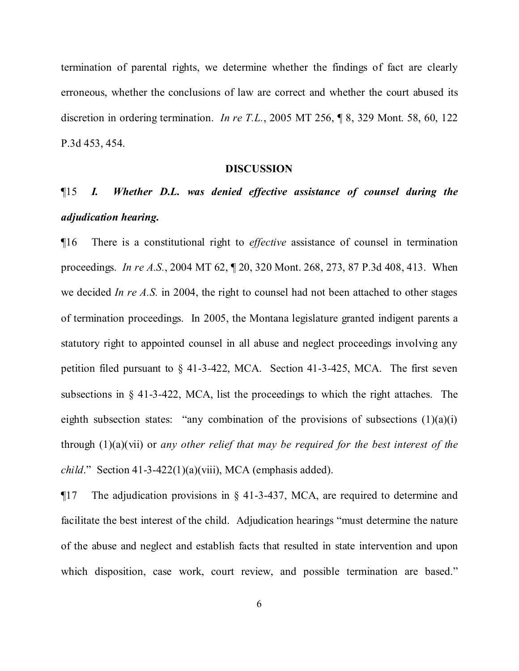termination of parental rights, we determine whether the findings of fact are clearly erroneous, whether the conclusions of law are correct and whether the court abused its discretion in ordering termination. *In re T.L.*, 2005 MT 256, ¶ 8, 329 Mont. 58, 60, 122 P.3d 453, 454.

#### **DISCUSSION**

# ¶15 *I. Whether D.L. was denied effective assistance of counsel during the adjudication hearing.*

¶16 There is a constitutional right to *effective* assistance of counsel in termination proceedings. *In re A.S.*, 2004 MT 62, ¶ 20, 320 Mont. 268, 273, 87 P.3d 408, 413. When we decided *In re A.S.* in 2004, the right to counsel had not been attached to other stages of termination proceedings. In 2005, the Montana legislature granted indigent parents a statutory right to appointed counsel in all abuse and neglect proceedings involving any petition filed pursuant to § 41-3-422, MCA. Section 41-3-425, MCA. The first seven subsections in  $\S$  41-3-422, MCA, list the proceedings to which the right attaches. The eighth subsection states: "any combination of the provisions of subsections  $(1)(a)(i)$ through (1)(a)(vii) or *any other relief that may be required for the best interest of the child*." Section 41-3-422(1)(a)(viii), MCA (emphasis added).

¶17 The adjudication provisions in § 41-3-437, MCA, are required to determine and facilitate the best interest of the child. Adjudication hearings "must determine the nature of the abuse and neglect and establish facts that resulted in state intervention and upon which disposition, case work, court review, and possible termination are based."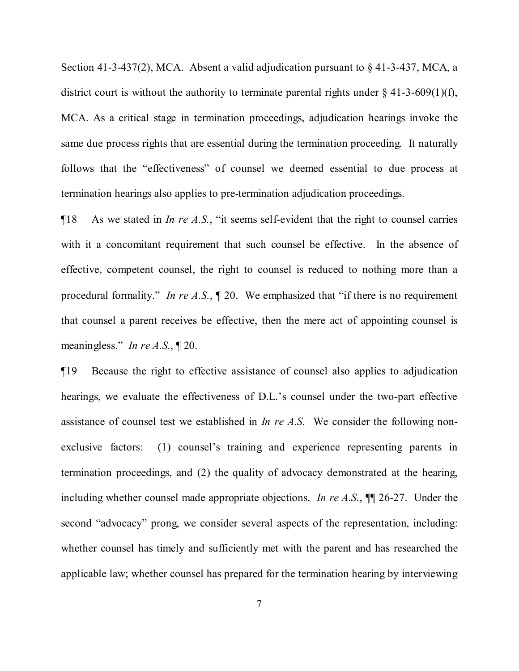Section 41-3-437(2), MCA. Absent a valid adjudication pursuant to § 41-3-437, MCA, a district court is without the authority to terminate parental rights under  $\S$  41-3-609(1)(f), MCA. As a critical stage in termination proceedings, adjudication hearings invoke the same due process rights that are essential during the termination proceeding. It naturally follows that the "effectiveness" of counsel we deemed essential to due process at termination hearings also applies to pre-termination adjudication proceedings.

¶18 As we stated in *In re A.S.*, "it seems self-evident that the right to counsel carries with it a concomitant requirement that such counsel be effective. In the absence of effective, competent counsel, the right to counsel is reduced to nothing more than a procedural formality." *In re A.S.*, ¶ 20. We emphasized that "if there is no requirement that counsel a parent receives be effective, then the mere act of appointing counsel is meaningless." *In re A.S.*, ¶ 20.

¶19 Because the right to effective assistance of counsel also applies to adjudication hearings, we evaluate the effectiveness of D.L.'s counsel under the two-part effective assistance of counsel test we established in *In re A.S.* We consider the following nonexclusive factors: (1) counsel's training and experience representing parents in termination proceedings, and (2) the quality of advocacy demonstrated at the hearing, including whether counsel made appropriate objections. *In re A.S.*, ¶¶ 26-27. Under the second "advocacy" prong, we consider several aspects of the representation, including: whether counsel has timely and sufficiently met with the parent and has researched the applicable law; whether counsel has prepared for the termination hearing by interviewing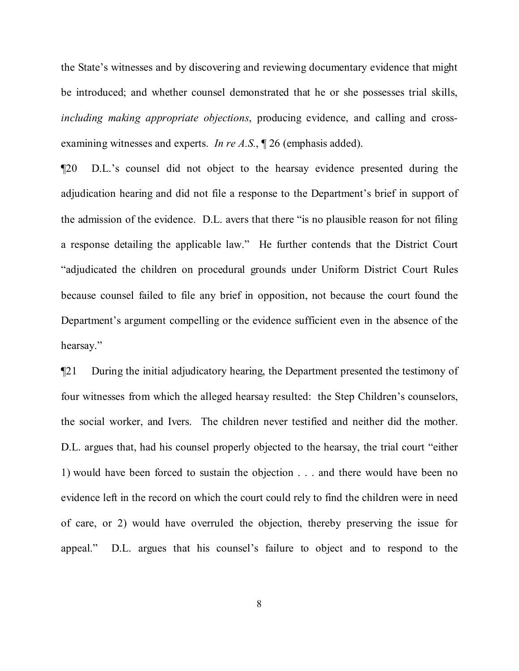the State's witnesses and by discovering and reviewing documentary evidence that might be introduced; and whether counsel demonstrated that he or she possesses trial skills, *including making appropriate objections*, producing evidence, and calling and crossexamining witnesses and experts. *In re A.S.*, ¶ 26 (emphasis added).

¶20 D.L.'s counsel did not object to the hearsay evidence presented during the adjudication hearing and did not file a response to the Department's brief in support of the admission of the evidence. D.L. avers that there "is no plausible reason for not filing a response detailing the applicable law." He further contends that the District Court "adjudicated the children on procedural grounds under Uniform District Court Rules because counsel failed to file any brief in opposition, not because the court found the Department's argument compelling or the evidence sufficient even in the absence of the hearsay."

¶21 During the initial adjudicatory hearing, the Department presented the testimony of four witnesses from which the alleged hearsay resulted: the Step Children's counselors, the social worker, and Ivers. The children never testified and neither did the mother. D.L. argues that, had his counsel properly objected to the hearsay, the trial court "either 1) would have been forced to sustain the objection . . . and there would have been no evidence left in the record on which the court could rely to find the children were in need of care, or 2) would have overruled the objection, thereby preserving the issue for appeal." D.L. argues that his counsel's failure to object and to respond to the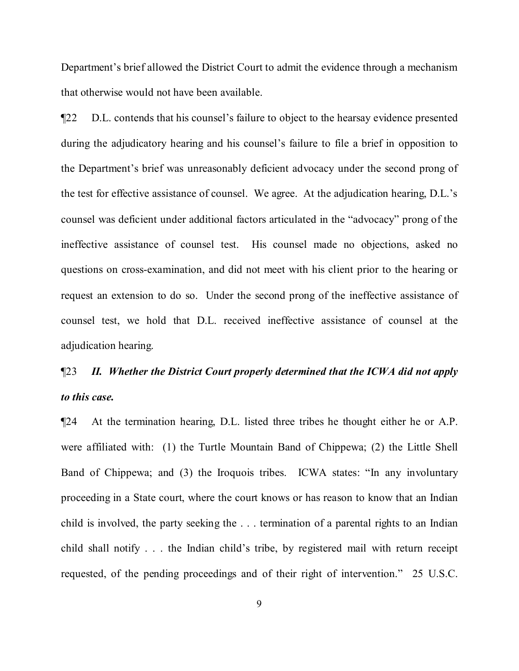Department's brief allowed the District Court to admit the evidence through a mechanism that otherwise would not have been available.

¶22 D.L. contends that his counsel's failure to object to the hearsay evidence presented during the adjudicatory hearing and his counsel's failure to file a brief in opposition to the Department's brief was unreasonably deficient advocacy under the second prong of the test for effective assistance of counsel. We agree. At the adjudication hearing, D.L.'s counsel was deficient under additional factors articulated in the "advocacy" prong of the ineffective assistance of counsel test. His counsel made no objections, asked no questions on cross-examination, and did not meet with his client prior to the hearing or request an extension to do so. Under the second prong of the ineffective assistance of counsel test, we hold that D.L. received ineffective assistance of counsel at the adjudication hearing.

# ¶23 *II. Whether the District Court properly determined that the ICWA did not apply to this case.*

¶24 At the termination hearing, D.L. listed three tribes he thought either he or A.P. were affiliated with: (1) the Turtle Mountain Band of Chippewa; (2) the Little Shell Band of Chippewa; and (3) the Iroquois tribes. ICWA states: "In any involuntary proceeding in a State court, where the court knows or has reason to know that an Indian child is involved, the party seeking the . . . termination of a parental rights to an Indian child shall notify . . . the Indian child's tribe, by registered mail with return receipt requested, of the pending proceedings and of their right of intervention." 25 U.S.C.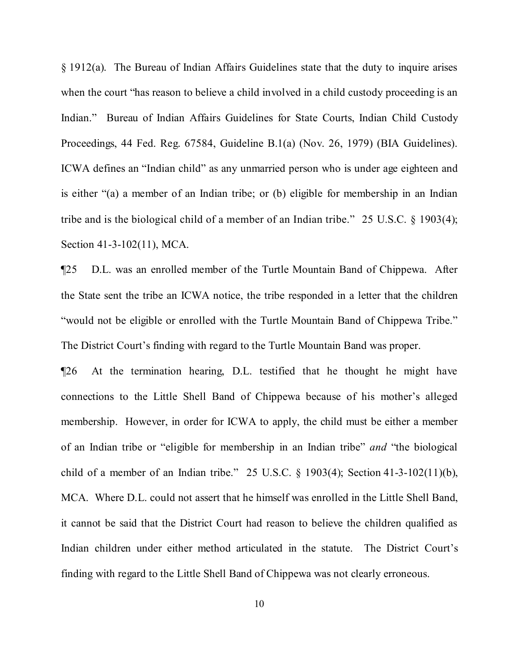§ 1912(a). The Bureau of Indian Affairs Guidelines state that the duty to inquire arises when the court "has reason to believe a child involved in a child custody proceeding is an Indian." Bureau of Indian Affairs Guidelines for State Courts, Indian Child Custody Proceedings, 44 Fed. Reg. 67584, Guideline B.1(a) (Nov. 26, 1979) (BIA Guidelines). ICWA defines an "Indian child" as any unmarried person who is under age eighteen and is either "(a) a member of an Indian tribe; or (b) eligible for membership in an Indian tribe and is the biological child of a member of an Indian tribe." 25 U.S.C. § 1903(4); Section 41-3-102(11), MCA.

¶25 D.L. was an enrolled member of the Turtle Mountain Band of Chippewa. After the State sent the tribe an ICWA notice, the tribe responded in a letter that the children "would not be eligible or enrolled with the Turtle Mountain Band of Chippewa Tribe." The District Court's finding with regard to the Turtle Mountain Band was proper.

¶26 At the termination hearing, D.L. testified that he thought he might have connections to the Little Shell Band of Chippewa because of his mother's alleged membership. However, in order for ICWA to apply, the child must be either a member of an Indian tribe or "eligible for membership in an Indian tribe" *and* "the biological child of a member of an Indian tribe." 25 U.S.C. § 1903(4); Section 41-3-102(11)(b), MCA. Where D.L. could not assert that he himself was enrolled in the Little Shell Band, it cannot be said that the District Court had reason to believe the children qualified as Indian children under either method articulated in the statute. The District Court's finding with regard to the Little Shell Band of Chippewa was not clearly erroneous.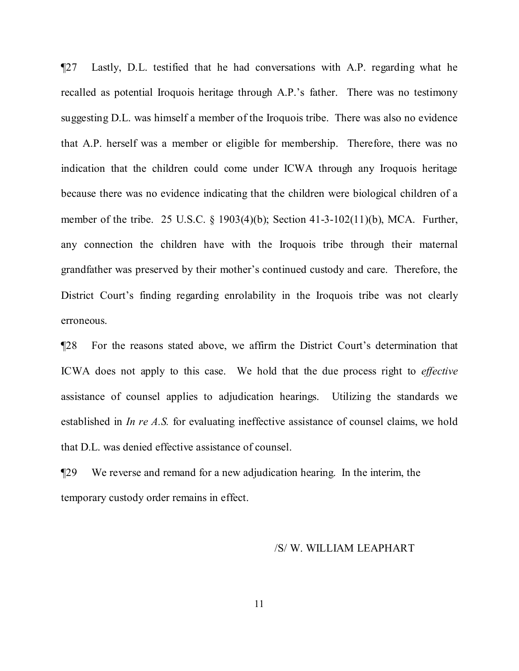¶27 Lastly, D.L. testified that he had conversations with A.P. regarding what he recalled as potential Iroquois heritage through A.P.'s father. There was no testimony suggesting D.L. was himself a member of the Iroquois tribe. There was also no evidence that A.P. herself was a member or eligible for membership. Therefore, there was no indication that the children could come under ICWA through any Iroquois heritage because there was no evidence indicating that the children were biological children of a member of the tribe. 25 U.S.C. § 1903(4)(b); Section 41-3-102(11)(b), MCA. Further, any connection the children have with the Iroquois tribe through their maternal grandfather was preserved by their mother's continued custody and care. Therefore, the District Court's finding regarding enrolability in the Iroquois tribe was not clearly erroneous.

¶28 For the reasons stated above, we affirm the District Court's determination that ICWA does not apply to this case. We hold that the due process right to *effective* assistance of counsel applies to adjudication hearings. Utilizing the standards we established in *In re A.S.* for evaluating ineffective assistance of counsel claims, we hold that D.L. was denied effective assistance of counsel.

¶29 We reverse and remand for a new adjudication hearing. In the interim, the temporary custody order remains in effect.

#### /S/ W. WILLIAM LEAPHART

11